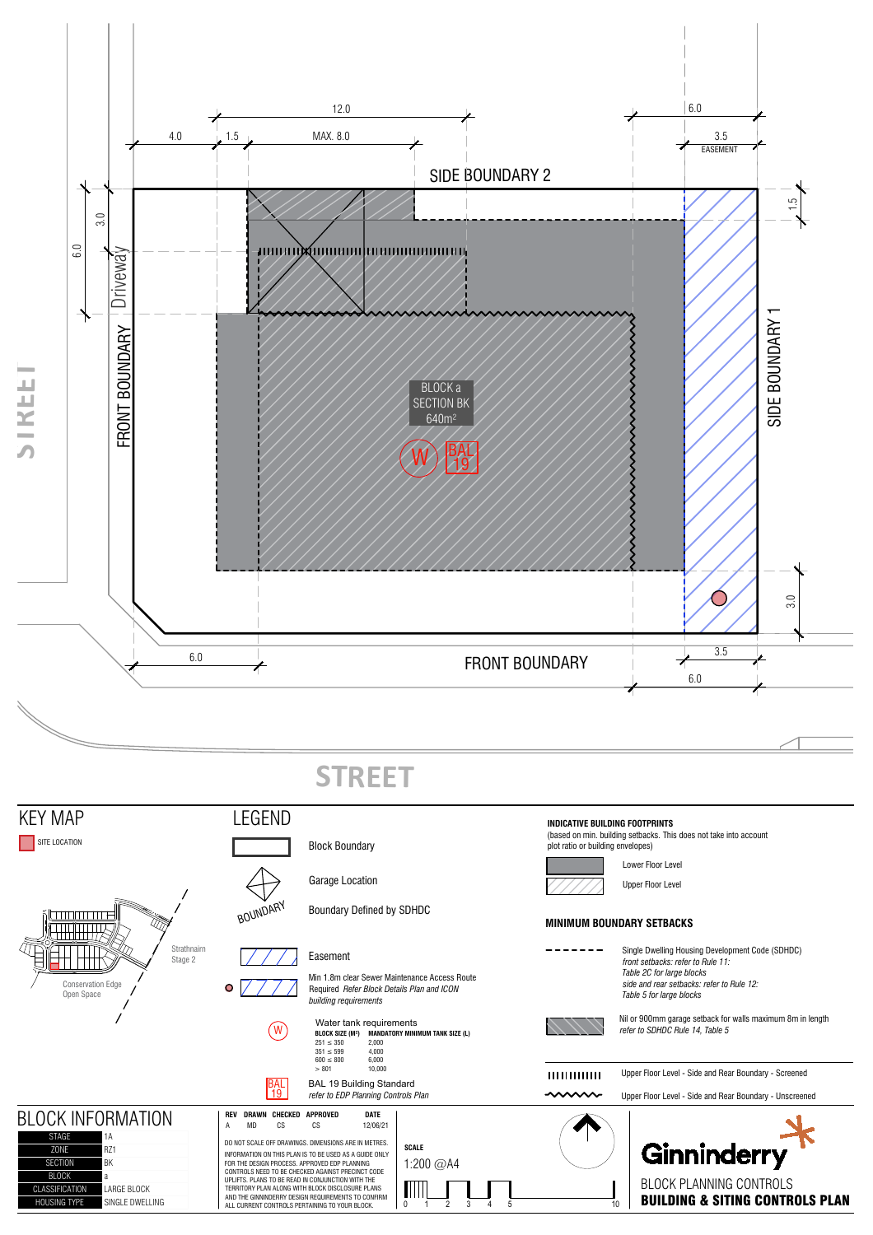

1A<br>DO NOT SCALE OFF DRAWINGS. DIMENSIONS ARE IN METRES.<br>RZ1 **Ginninderry SCALE** INFORMATION ON THIS PLAN IS TO BE USED AS A GUIDE ONLY<br>FOR THE DESIGN PROCESS. APPROVED EDP PLANNING<br>CONTROLS NEED TO BE CHECKED AGAINST PRECINCT CODE 1:200 @A4 UPLIFTS. PLANS TO BE READ IN CONJUNCTION WITH THE TERRITORY PLAN ALONG WITH BLOCK DISCLOSURE PLANS  $\begin{array}{c} \text{min}_{1 \ 2 \ 3 \ 4 \ 5 \end{array}$   $\begin{array}{c} \text{BLOCK PLANNING CONTROLS} \\ \text{BULDING & \text{S ITING CONTROLS} \end{array}$  PLAN AND THE GINNINDERRY DESIGN REQUIREMENTS TO CONFIRM ALL CURRENT CONTROLS PERTAINING TO YOUR BLOCK.

ZONE SECTION BK **BLOCK** 

CLASSIFICATION LARGE BLOCK<br>HOUSING TYPE SINGLE DWELL

 $\blacksquare$  SINGLE DWELLING